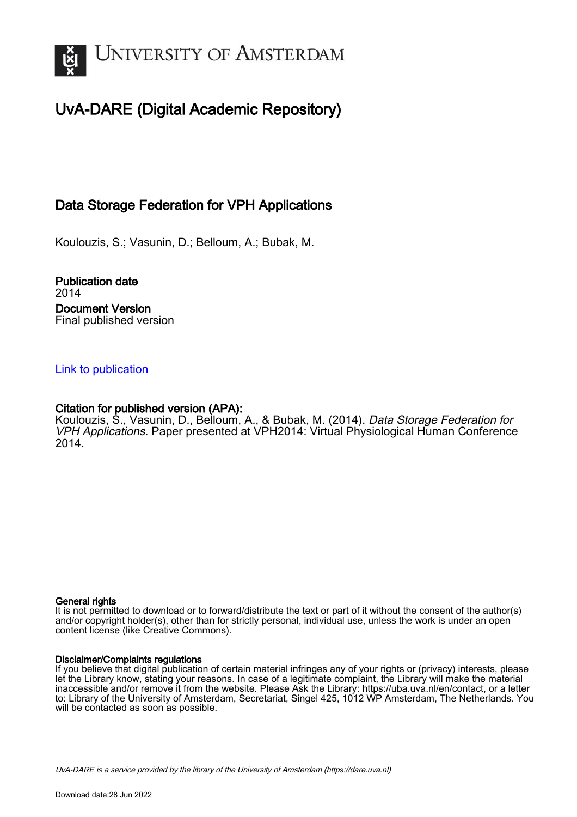

# UvA-DARE (Digital Academic Repository)

## Data Storage Federation for VPH Applications

Koulouzis, S.; Vasunin, D.; Belloum, A.; Bubak, M.

Publication date 2014 Document Version Final published version

## [Link to publication](https://dare.uva.nl/personal/pure/en/publications/data-storage-federation-for-vph-applications(758d93e9-c9d1-4b8c-bf84-a9486dc56383).html)

### Citation for published version (APA):

Koulouzis, S., Vasunin, D., Belloum, A., & Bubak, M. (2014). Data Storage Federation for VPH Applications. Paper presented at VPH2014: Virtual Physiological Human Conference 2014.

#### General rights

It is not permitted to download or to forward/distribute the text or part of it without the consent of the author(s) and/or copyright holder(s), other than for strictly personal, individual use, unless the work is under an open content license (like Creative Commons).

#### Disclaimer/Complaints regulations

If you believe that digital publication of certain material infringes any of your rights or (privacy) interests, please let the Library know, stating your reasons. In case of a legitimate complaint, the Library will make the material inaccessible and/or remove it from the website. Please Ask the Library: https://uba.uva.nl/en/contact, or a letter to: Library of the University of Amsterdam, Secretariat, Singel 425, 1012 WP Amsterdam, The Netherlands. You will be contacted as soon as possible.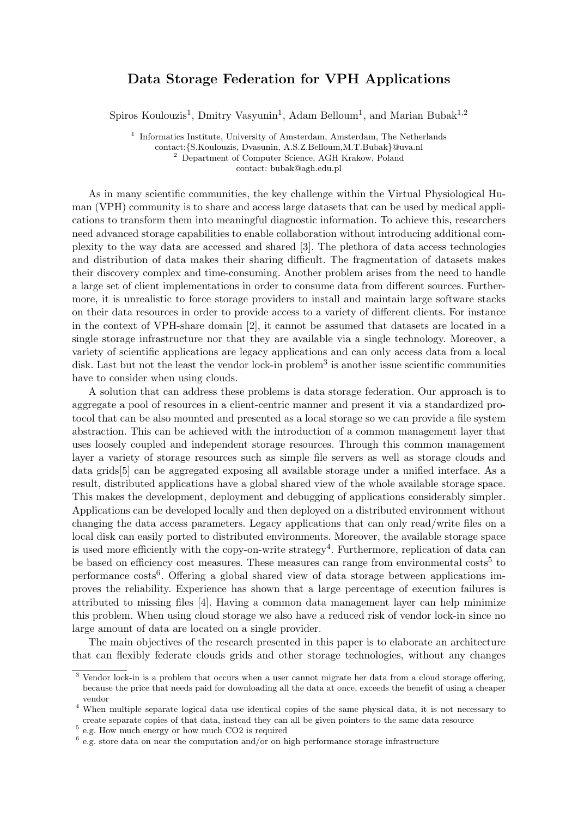## Data Storage Federation for VPH Applications

Spiros Koulouzis<sup>1</sup>, Dmitry Vasyunin<sup>1</sup>, Adam Belloum<sup>1</sup>, and Marian Bubak<sup>1,2</sup>

<sup>1</sup> Informatics Institute, University of Amsterdam, Amsterdam, The Netherlands contact:{S.Koulouzis, Dvasunin, A.S.Z.Belloum,M.T.Bubak}@uva.nl <sup>2</sup> Department of Computer Science, AGH Krakow, Poland contact: bubak@agh.edu.pl

As in many scientific communities, the key challenge within the Virtual Physiological Human (VPH) community is to share and access large datasets that can be used by medical applications to transform them into meaningful diagnostic information. To achieve this, researchers need advanced storage capabilities to enable collaboration without introducing additional complexity to the way data are accessed and shared [3]. The plethora of data access technologies and distribution of data makes their sharing difficult. The fragmentation of datasets makes their discovery complex and time-consuming. Another problem arises from the need to handle a large set of client implementations in order to consume data from different sources. Furthermore, it is unrealistic to force storage providers to install and maintain large software stacks on their data resources in order to provide access to a variety of different clients. For instance in the context of VPH-share domain [2], it cannot be assumed that datasets are located in a single storage infrastructure nor that they are available via a single technology. Moreover, a variety of scientific applications are legacy applications and can only access data from a local disk. Last but not the least the vendor lock-in problem<sup>3</sup> is another issue scientific communities have to consider when using clouds.

A solution that can address these problems is data storage federation. Our approach is to aggregate a pool of resources in a client-centric manner and present it via a standardized protocol that can be also mounted and presented as a local storage so we can provide a file system abstraction. This can be achieved with the introduction of a common management layer that uses loosely coupled and independent storage resources. Through this common management layer a variety of storage resources such as simple file servers as well as storage clouds and data grids[5] can be aggregated exposing all available storage under a unified interface. As a result, distributed applications have a global shared view of the whole available storage space. This makes the development, deployment and debugging of applications considerably simpler. Applications can be developed locally and then deployed on a distributed environment without changing the data access parameters. Legacy applications that can only read/write files on a local disk can easily ported to distributed environments. Moreover, the available storage space is used more efficiently with the copy-on-write strategy<sup>4</sup>. Furthermore, replication of data can be based on efficiency cost measures. These measures can range from environmental costs<sup>5</sup> to performance costs<sup>6</sup>. Offering a global shared view of data storage between applications improves the reliability. Experience has shown that a large percentage of execution failures is attributed to missing files [4]. Having a common data management layer can help minimize this problem. When using cloud storage we also have a reduced risk of vendor lock-in since no large amount of data are located on a single provider.

The main objectives of the research presented in this paper is to elaborate an architecture that can flexibly federate clouds grids and other storage technologies, without any changes

<sup>3</sup> Vendor lock-in is a problem that occurs when a user cannot migrate her data from a cloud storage offering, because the price that needs paid for downloading all the data at once, exceeds the benefit of using a cheaper vendor

<sup>4</sup> When multiple separate logical data use identical copies of the same physical data, it is not necessary to create separate copies of that data, instead they can all be given pointers to the same data resource

<sup>5</sup> e.g. How much energy or how much CO2 is required

<sup>&</sup>lt;sup>6</sup> e.g. store data on near the computation and/or on high performance storage infrastructure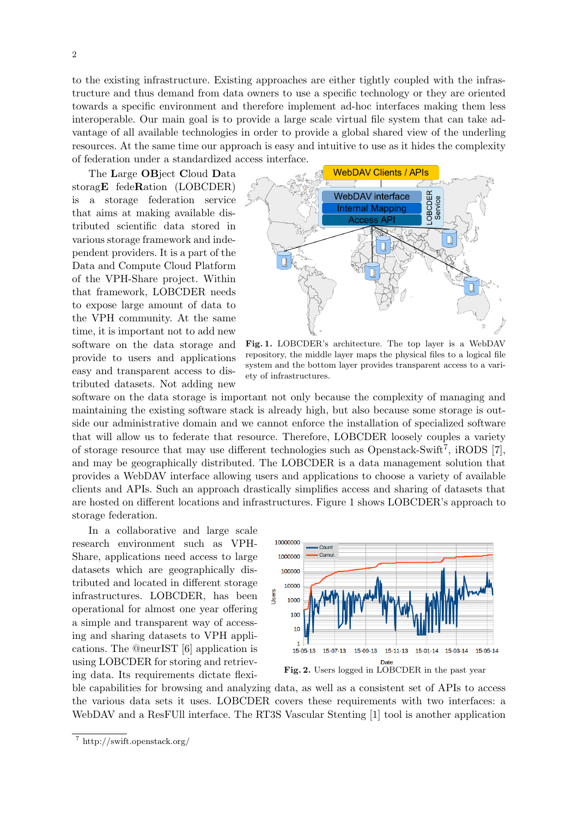to the existing infrastructure. Existing approaches are either tightly coupled with the infrastructure and thus demand from data owners to use a specific technology or they are oriented towards a specific environment and therefore implement ad-hoc interfaces making them less interoperable. Our main goal is to provide a large scale virtual file system that can take advantage of all available technologies in order to provide a global shared view of the underling resources. At the same time our approach is easy and intuitive to use as it hides the complexity of federation under a standardized access interface.

The Large OBject Cloud Data storagE fedeRation (LOBCDER) is a storage federation service that aims at making available distributed scientific data stored in various storage framework and independent providers. It is a part of the Data and Compute Cloud Platform of the VPH-Share project. Within that framework, LOBCDER needs to expose large amount of data to the VPH community. At the same time, it is important not to add new software on the data storage and provide to users and applications easy and transparent access to distributed datasets. Not adding new



Fig. 1. LOBCDER's architecture. The top layer is a WebDAV repository, the middle layer maps the physical files to a logical file system and the bottom layer provides transparent access to a variety of infrastructures.

software on the data storage is important not only because the complexity of managing and maintaining the existing software stack is already high, but also because some storage is outside our administrative domain and we cannot enforce the installation of specialized software that will allow us to federate that resource. Therefore, LOBCDER loosely couples a variety of storage resource that may use different technologies such as Openstack-Swift<sup>7</sup>, iRODS [7], and may be geographically distributed. The LOBCDER is a data management solution that provides a WebDAV interface allowing users and applications to choose a variety of available clients and APIs. Such an approach drastically simplifies access and sharing of datasets that are hosted on different locations and infrastructures. Figure 1 shows LOBCDER's approach to storage federation.

In a collaborative and large scale research environment such as VPH-Share, applications need access to large datasets which are geographically distributed and located in different storage infrastructures. LOBCDER, has been operational for almost one year offering a simple and transparent way of accessing and sharing datasets to VPH applications. The @neurIST [6] application is using LOBCDER for storing and retrieving data. Its requirements dictate flexi-



ble capabilities for browsing and analyzing data, as well as a consistent set of APIs to access the various data sets it uses. LOBCDER covers these requirements with two interfaces: a WebDAV and a ResFUII interface. The RT3S Vascular Stenting [1] tool is another application

<sup>7</sup> http://swift.openstack.org/